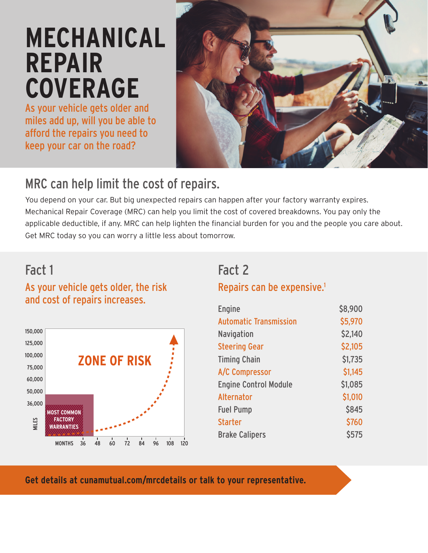# **MECHANICAL REPAIR COVERAGE**

As your vehicle gets older and miles add up, will you be able to afford the repairs you need to keep your car on the road?



# MRC can help limit the cost of repairs.

You depend on your car. But big unexpected repairs can happen after your factory warranty expires. Mechanical Repair Coverage (MRC) can help you limit the cost of covered breakdowns. You pay only the applicable deductible, if any. MRC can help lighten the financial burden for you and the people you care about. Get MRC today so you can worry a little less about tomorrow.

# Fact 1

## As your vehicle gets older, the risk and cost of repairs increases.



## Fact 2 Repairs can be expensive.<sup>1</sup>

| <b>Engine</b>                 | \$8,900 |
|-------------------------------|---------|
| <b>Automatic Transmission</b> | \$5,970 |
| <b>Navigation</b>             | \$2,140 |
| <b>Steering Gear</b>          | \$2,105 |
| <b>Timing Chain</b>           | \$1,735 |
| A/C Compressor                | \$1,145 |
| <b>Engine Control Module</b>  | \$1,085 |
| Alternator                    | \$1,010 |
| <b>Fuel Pump</b>              | \$845   |
| <b>Starter</b>                | \$760   |
| <b>Brake Calipers</b>         | \$575   |

**Get details at cunamutual.com/mrcdetails or talk to your representative.**